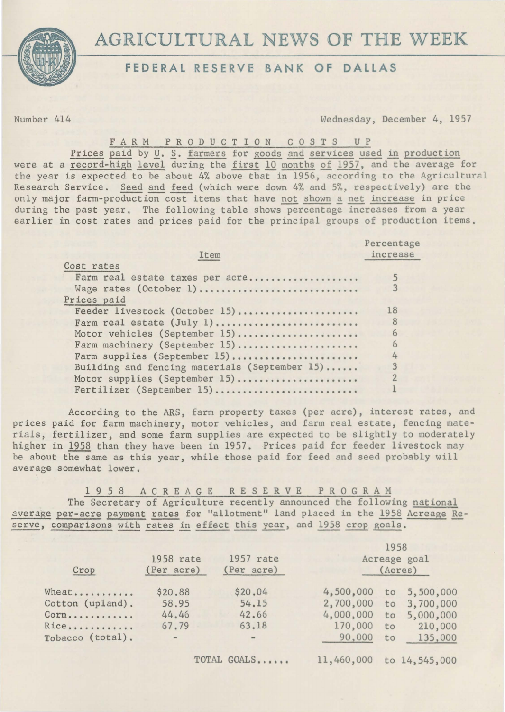

# **FEDERAL RESERVE BANK OF DALLAS**

Number 414 Wednesday, December 4, 1957

FARM PRODUCTION COSTS UP

Prices paid by *U*. S. farmers for goods and services used in production were at a record-high level during the first 10 months of 1957, and the average for the year is expected to be about 4% above that in 1956, according to the Agricultural Research Service. Seed and feed (which were down 4% and 5%, respectively) are the only major farm-production cost items that have not shown a net increase in price during the past year. The following table shows percentage increases from a year earlier in cost rates and prices paid for the principal groups of production items.

|                                               | Percentage |
|-----------------------------------------------|------------|
| Item                                          | increase   |
| Cost rates                                    |            |
| Farm real estate taxes per acre               |            |
| Wage rates (October 1)                        |            |
| Prices paid                                   |            |
| Feeder livestock (October 15)                 | 18         |
| Farm real estate (July 1)                     | 8          |
| Motor vehicles (September 15)                 | 6          |
| Farm machinery (September 15)                 | 6          |
| Farm supplies (September 15)                  |            |
| Building and fencing materials (September 15) |            |
| Motor supplies (September 15)                 |            |
| Fertilizer (September 15)                     |            |

According to the ARS, farm property taxes (per acre), interest rates, and prices paid for farm machinery, motor vehicles, and farm real estate, fencing materials, fertilizer, and some farm supplies are expected to be slightly to moderately higher in 1958 than they have been in 1957. Prices paid for feeder livestock may be about the same as this year, while those paid for feed and seed probably will average somewhat lower.

1 9 5 8 A C R E A G E R E S E R V E P R 0 G R A M The Secretary of Agriculture recently announced the following national average per-acre payment rates for "allotment" land placed in the 1958 Acreage Reserve, comparisons with rates in effect this year, and 1958 crop goals.

| Crop             | 1958 rate<br>(Per acre) | 1957 rate<br>(Per acre) | 1958<br>Acreage goal<br>(Acres) |    |               |
|------------------|-------------------------|-------------------------|---------------------------------|----|---------------|
| Wheat            | \$20.88                 | \$20.04                 | 4,500,000                       | to | 5,500,000     |
| Cotton (upland). | 58.95                   | 54.15                   | 2,700,000                       | to | 3,700,000     |
| Corn             | 44.46                   | 42.66                   | 4,000,000                       | to | 5,000,000     |
| Rice             | 67.79                   | 63.18                   | 170,000                         | to | 210,000       |
| Tobacco (total). | $\blacksquare$          | $\equiv$                | 90,000                          | to | 135,000       |
|                  |                         | TOTAL GOALS             | 11,460,000                      |    | to 14,545,000 |